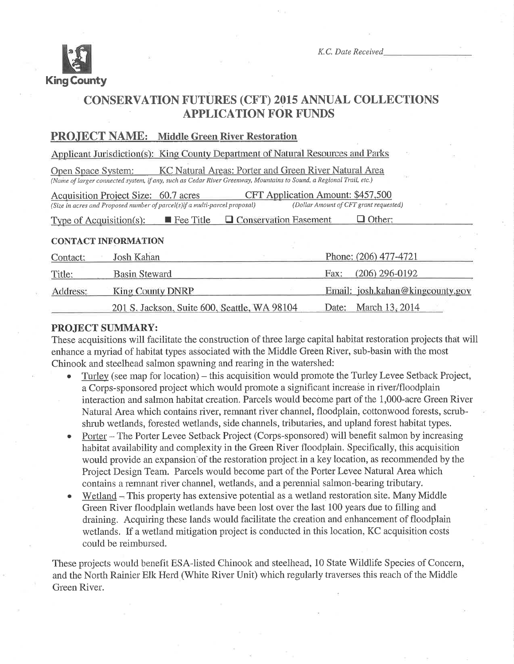

K.C. Date Received

# **CONSERVATION FUTURES (CFT) 2015 ANNUAL COLLECTIONS APPLICATION FOR FUNDS**

## **PROJECT NAME:** Middle Green River Restoration

Applicant Jurisdiction(s): King County Department of Natural Resources and Parks

KC Natural Areas: Porter and Green River Natural Area **Open Space System:** (Name of larger connected system, if any, such as Cedar River Greenway, Mountains to Sound, a Regional Trail, etc.)

| Acquisition Project Size: 60.7 acres                                        |             |                            | CFT Application Amount: \$457,500      |
|-----------------------------------------------------------------------------|-------------|----------------------------|----------------------------------------|
| (Size in acres and Proposed number of parcel(s) if a multi-parcel proposal) |             |                            | (Dollar Amount of CFT grant requested) |
| Type of $\Lambda$ conjuition(s).                                            | l Fee Title | $\Box$ Concervation $\Box$ | $\Box$ Other                           |

## **CONTACT INFORMATION**

| Contact: | Josh Kahan                                   | Phone: (206) 477-4721            |
|----------|----------------------------------------------|----------------------------------|
| Title:   | <b>Basin Steward</b>                         | $(206)$ 296-0192<br>Fax:         |
| Address: | <b>King County DNRP</b>                      | Email: josh.kahan@kingcounty.gov |
|          | 201 S. Jackson, Suite 600, Seattle, WA 98104 | Date: March 13, 2014             |

## **PROJECT SUMMARY:**

These acquisitions will facilitate the construction of three large capital habitat restoration projects that will enhance a myriad of habitat types associated with the Middle Green River, sub-basin with the most Chinook and steelhead salmon spawning and rearing in the watershed:

- Turley (see map for location) this acquisition would promote the Turley Levee Setback Project, a Corps-sponsored project which would promote a significant increase in river/floodplain interaction and salmon habitat creation. Parcels would become part of the 1,000-acre Green River Natural Area which contains river, remnant river channel, floodplain, cottonwood forests, scrubshrub wetlands, forested wetlands, side channels, tributaries, and upland forest habitat types.
- Porter The Porter Levee Setback Project (Corps-sponsored) will benefit salmon by increasing habitat availability and complexity in the Green River floodplain. Specifically, this acquisition would provide an expansion of the restoration project in a key location, as recommended by the Project Design Team. Parcels would become part of the Porter Levee Natural Area which contains a remnant river channel, wetlands, and a perennial salmon-bearing tributary.
- Wetland This property has extensive potential as a wetland restoration site. Many Middle Green River floodplain wetlands have been lost over the last 100 years due to filling and draining. Acquiring these lands would facilitate the creation and enhancement of floodplain wetlands. If a wetland mitigation project is conducted in this location, KC acquisition costs could be reimbursed.

These projects would benefit ESA-listed Chinook and steelhead, 10 State Wildlife Species of Concern, and the North Rainier Elk Herd (White River Unit) which regularly traverses this reach of the Middle Green River.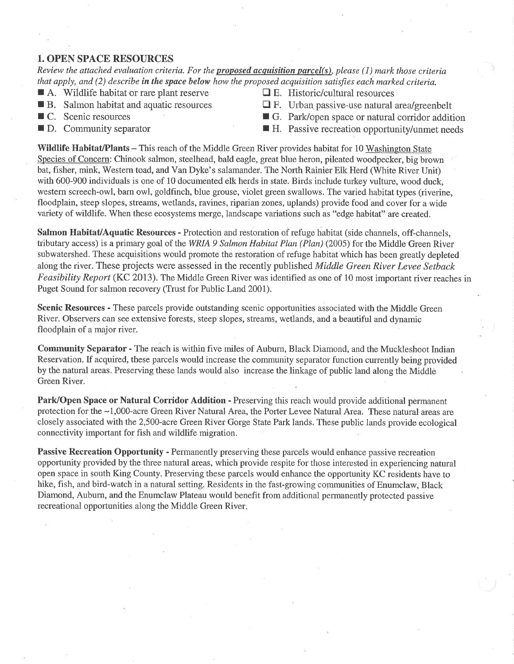#### 1. OPEN SPACE RESOURCES

Review the attached evaluation criteria. For the **proposed acquisition parcel(s)**, please (1) mark those criteria that apply, and  $(2)$  describe in the space below how the proposed acquisition satisfies each marked criteria.

- $\blacksquare$  A. Wildlife habitat or rare plant reserve  $\blacksquare$  E. Historic/cultural resources
- 
- 
- 
- 
- **R** B. Salmon habitat and aquatic resources  $\Box$  F. Urban passive-use natural area/greenbelt
	-
- **C.** Scenic resources **F** G. Park/open space or natural corridor addition **I D.** Community separator **I H.** Passive recreation opportunity/unmet needs

Wildlife Habitat/Plants – This reach of the Middle Green River provides habitat for 10 Washington State Species of Concern: Chinook salmon, steelhead, bald eagle, great blue heron, pileated woodpecker, big brown bat, fisher, mink, Western toad, and Van Dyke's salamander. The North Rainier Elk Herd (White River Unit) with 600-900 individuals is one of 10 documented elk herds in state. Birds include tutkey vulture, wood duck, western screech-owl, barn owl, goldfinch, blue grouse, violet green swallows. The varied habitat types (riverine, floodplain, steep slopes, streams, wetlands, ravines, riparian zones, uplands) provide food and cover for a wide variety of wildlife. When these ecosystems merge, landscape variations such as "edge habitat" are created.

Salmon Habitat/Aquatic Resources - Protection and restoration of refuge habitat (side channels, off-channels, tributary access) is a primary goal of the WRIA 9 Salmon Habitat Plan (Plan) (2005) for the Middle Green River subwatershed. These acquisitions would promote the restoration of refuge habitat which has been greatly depleted along the river. These projects were assessed in the recently published Middle Green River Levee Setback Feasibility Report (KC 2013). The Middle Green River was identified as one of 10 most important river reaches in Puget Sound for salmon recovery (Trust for Public Land 2001).

Scenic Resources - These parcels provide outstanding scenic opportunities associated with the Middle Green River. Observers can see extensive forests, steep slopes, streams, wetlands, and a beautiful and dynamic floodplain of a major river.

Community Separator - The reach is within five miles of Auburn, Black Diamond, and the Muckleshoot Indian Reservation, If acquired, these parcels would increase the community separator function currently being provided by the natural areas. Preserving these lands would also increase the linkage of public land along the Middle Green River.

Park/Open Space or Natural Corridor Addition - Preserving this reach would provide additional permanent protection for the -1,000-acre Green River Natural Area, the Porter Levee Natural Area. These natural areas are closely associated with the 2,500-acre Green River Gorge State Park lands. These public lands provide ecological connectivity important for fish and wildlife migration.

Passive Recreation Opportunity - Permanently preserving these parcels would enhance passive recreation opportunity provided by the three natural areas, which provide respite for those interested in experiencing natural open space in south King County. Preserving these parcels would enhance the opportunity KC residents have to hike, fish, and bird-watch in a natural setting. Residents in the fast-growing communities of Enumclaw, Black Diamond, Aubum, and the Enumclaw Plateau would benefit from additional permanently protected passive recreational opportunities along the Middle Green River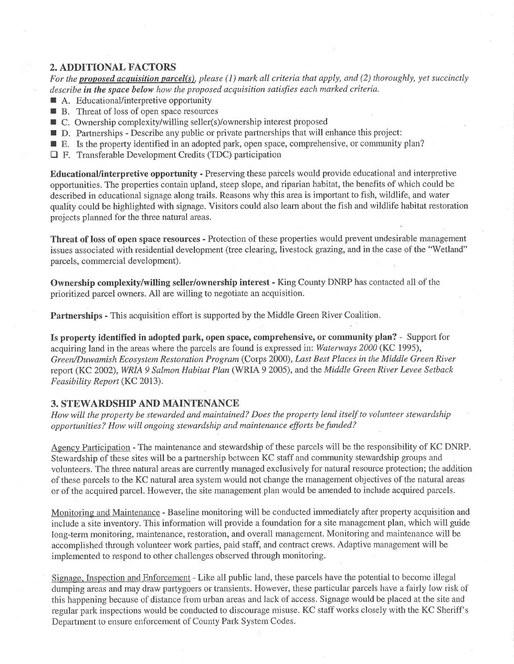# 2. ADDITIONAL FACTORS

For the proposed acquisition parcel(s), please (1) mark all criteria that apply, and (2) thoroughly, yet succinctly describe in the space below how the proposed acquisition satisfies each marked criteria.

- $\blacksquare$  A. Educational/interpretive opportunity
- **R** B. Threat of loss of open space resources
- $\blacksquare$  C. Ownership complexity/willing seller(s)/ownership interest proposed
- $\blacksquare$  D. Partnerships Describe any public or private partnerships that will enhance this project:
- $\blacksquare$  E. Is the property identified in an adopted park, open space, comprehensive, or community plan?
- D F. Transferable Development Credits (TDC) participation

Educational/interpretive opportunity - Preserving these paicels would provide educational and interpretive opportunities. The properties contain upland, steep slope, and riparian habitat, the benefits of which could be described in educational signage along trails. Reasons why this area is important to fish, wildlife, and water quality could be hightighted with signage. Visitors could also leam about the fish and wildlife habitat restoration projects planned for the three natural areas.

Threat of loss of open space resources - Protection of these properties would prevent undesirable management issues associated with residential development (tree clearing, livestock grazing, and in the case of the "Wetland" parcels, commercial development).

Ownership complexity/willing seller/ownership interest - King County DNRP has contacted all of the prioritized parcel owners. All are willing to negotiate an acquisition.

Partnerships - This acquisition effort is supported by the Middle Green River Coalition.

Is property identÍfied in adopted park, open space, comprehensive, or community plan? - Support for acquiring land in the areas where the parcels are found is expressed in: Waterways 2000 (KC 1995), Green/Duwamish Ecosystem Restoration Program (Corps 2000), Last Best Places in the Middle Green River report (KC 2002), WRIA 9 Salmon Habitat Plan (WRIA 9 2005), and the Middle Green River Levee Setback Feasibility Report (KC 2013).

## 3. STEWARDSIIIP AND MÄINTENANCE

How will the property be stewarded and maintained? Does the property lend itself to volunteer stewardship opportunities? How will ongoing stewardship and maintenance efforts be funded?

Agency Participation - The maintenance and stewardship of these parcels will be the responsibility of KC DNRP. Stewardship of these sites will be a partnership between KC staff and community stewardship groups and volunteers. The three natural areas are curently managed exclusively for natural resource protection; the addition of these parcels to the KC natural area system would not change the management objectives of the natural areas or of the acquired parcel. However, the site management plan would be amended to include acquired parcels.

Monitoring and Maintenance - Baseline monitoring will be conducted immediately after property acquisition and include a site inventory. This information will provide a foundation for a site management plan, which will guide long-term monitoring, maintenance, restoration, and overall management. Monitoring and maintenance will be accomplished through volunteer work parties, paid staff, and contract crews. Adaptive management will be implemented to respond to other challenges observed through monitoring.

Signage. Inspection and Enforcement - Like all public land, these parcels have the potential to become illegal dumping areas and may draw partygoers or transients. However, these particular parcels have a fairly low risk of this happening because of distance from urban areas and lack of access. Signage would be placed at the site and regular park inspections would be conducted to discourage misuse. KC staff works closely with the KC Sheriff's Department to ensure enforcement of County Park System Codes.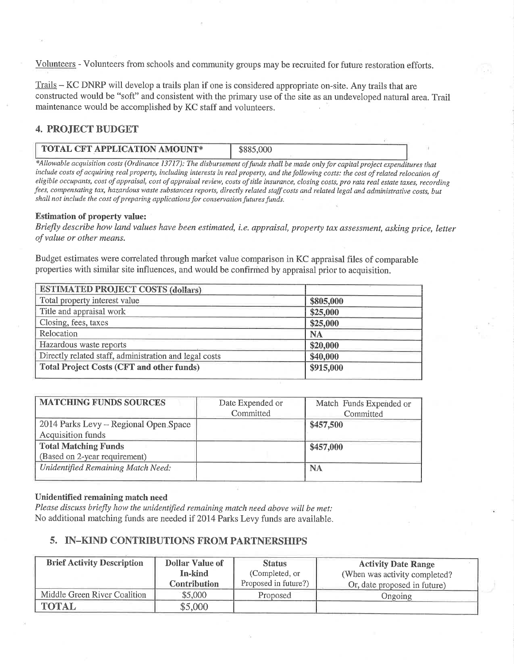Volunteers - Volunteers from schools and community groups may be recruited for future restoration efforts.

Trails - KC DNRP will develop a trails plan if one is considered appropriate on-site. Any trails that are constructed would be "soft" and consistent with the primary use of the site as an undeveloped natural area. Trail maintenance would be accomplished by KC staff and volunteers.

# 4. PROJECT BUDGET

## TOTAL CFT APPLICATION AMOUNT\* | \$885,000

\*Allowable acquisition costs (Ordinance 13717): The disbursement of funds shall be made only for capital project expenditures that include costs of acquiring real property, including interests in real property, and the following costs: the cost of related relocation of eligible occupants, cost of appraisal, cost of appraisal review, costs of title insurance, closing costs, pro rata real estate taxes, recording fees, compensating tax, hazardous waste substances reports, directly related staff costs and related legal and administrative costs, but shall not include the cost of preparing applications for conservation futures funds.

#### Estimation of property value:

Briefly describe how land values have been estimated, i.e. appraisal, property tax assessment, asking price, letter of value or other means.

Budget estimates were correlated through market value comparison in KC appraisal files of comparable properties with similar site influences, and would be confirmed by appraisal prior to acquisition.

| <b>ESTIMATED PROJECT COSTS (dollars)</b>               |           |  |
|--------------------------------------------------------|-----------|--|
| Total property interest value                          | \$805,000 |  |
| Title and appraisal work                               | \$25,000  |  |
| Closing, fees, taxes                                   | \$25,000  |  |
| Relocation                                             | <b>NA</b> |  |
| Hazardous waste reports                                | \$20,000  |  |
| Directly related staff, administration and legal costs | \$40,000  |  |
| <b>Total Project Costs (CFT and other funds)</b>       | \$915,000 |  |

| <b>MATCHING FUNDS SOURCES</b>         | Date Expended or | Match Funds Expended or |
|---------------------------------------|------------------|-------------------------|
|                                       | Committed        | Committed               |
| 2014 Parks Levy - Regional Open Space |                  | \$457,500               |
| <b>Acquisition funds</b>              |                  |                         |
| <b>Total Matching Funds</b>           |                  | \$457,000               |
| (Based on 2-year requirement)         |                  |                         |
| Unidentified Remaining Match Need:    |                  | <b>NA</b>               |

#### Unidentifïed remaining match need

Please discuss briefly how the unidentified remaining match need above will be met: No additional matching funds are needed If 2014 Parks Levy funds are available.

## 5. IN-KIND CONTRIBUTIONS FROM PARTNERSHIPS

| <b>Brief Activity Description</b> | <b>Dollar Value of</b> | <b>Status</b>        | <b>Activity Date Range</b>     |  |
|-----------------------------------|------------------------|----------------------|--------------------------------|--|
|                                   | In-kind                | (Completed, or       | (When was activity completed?) |  |
|                                   | <b>Contribution</b>    | Proposed in future?) | Or, date proposed in future)   |  |
| Middle Green River Coalition      | \$5,000                | Proposed             | Ongoing                        |  |
| <b>TOTAL</b>                      | \$5,000                |                      |                                |  |